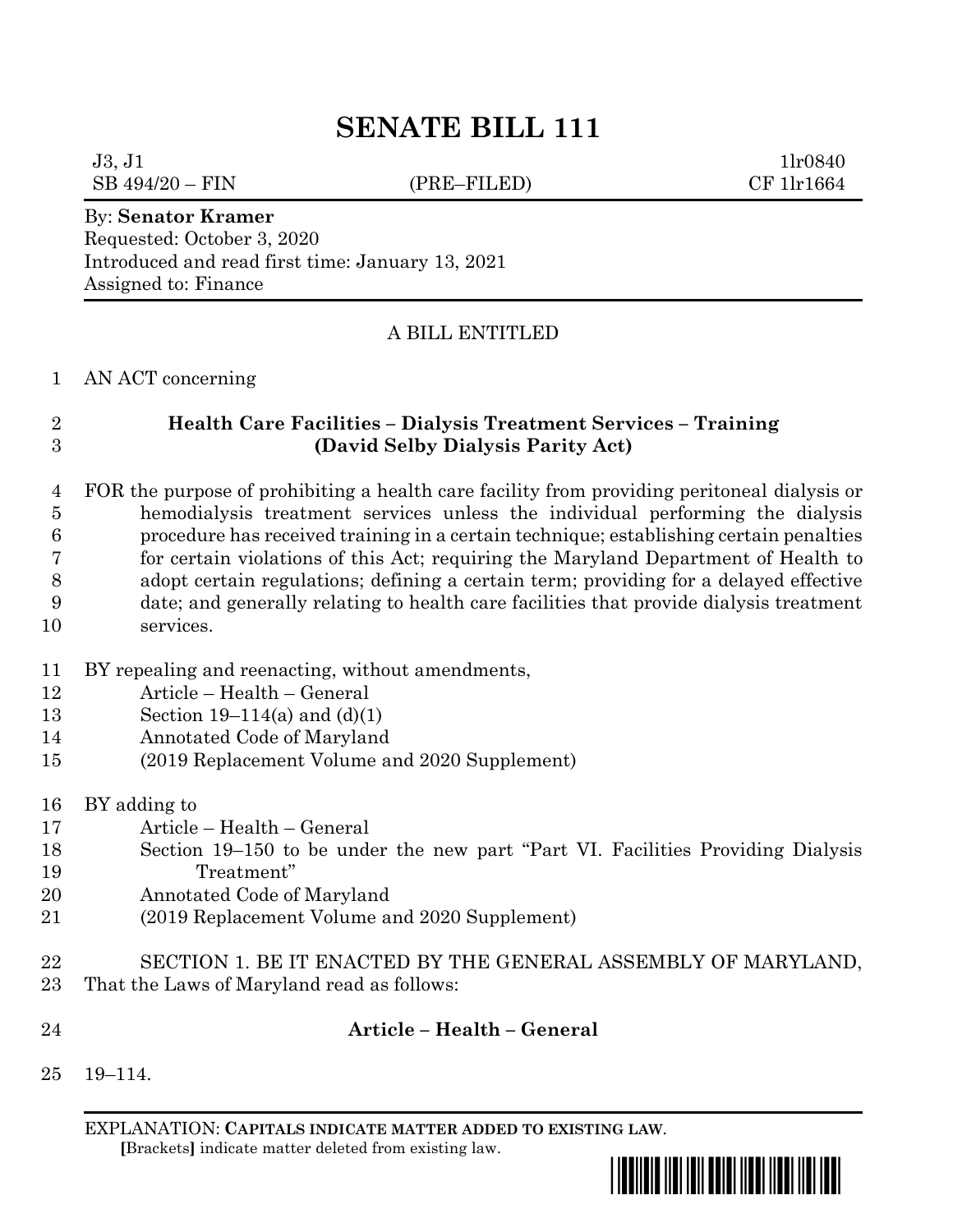# **SENATE BILL 111**

 $J3, J1$  1lr0840 SB 494/20 – FIN (PRE–FILED) CF 1lr1664

#### By: **Senator Kramer**

Requested: October 3, 2020 Introduced and read first time: January 13, 2021 Assigned to: Finance

### A BILL ENTITLED

#### AN ACT concerning

## **Health Care Facilities – Dialysis Treatment Services – Training (David Selby Dialysis Parity Act)**

 FOR the purpose of prohibiting a health care facility from providing peritoneal dialysis or hemodialysis treatment services unless the individual performing the dialysis procedure has received training in a certain technique; establishing certain penalties for certain violations of this Act; requiring the Maryland Department of Health to adopt certain regulations; defining a certain term; providing for a delayed effective date; and generally relating to health care facilities that provide dialysis treatment services.

- BY repealing and reenacting, without amendments,
- Article Health General
- Section 19–114(a) and (d)(1)
- Annotated Code of Maryland
- (2019 Replacement Volume and 2020 Supplement)
- BY adding to
- Article Health General
- Section 19–150 to be under the new part "Part VI. Facilities Providing Dialysis Treatment"
- Annotated Code of Maryland
- (2019 Replacement Volume and 2020 Supplement)
- SECTION 1. BE IT ENACTED BY THE GENERAL ASSEMBLY OF MARYLAND, That the Laws of Maryland read as follows:
- 
- 

## **Article – Health – General**

19–114.

EXPLANATION: **CAPITALS INDICATE MATTER ADDED TO EXISTING LAW**.  **[**Brackets**]** indicate matter deleted from existing law.

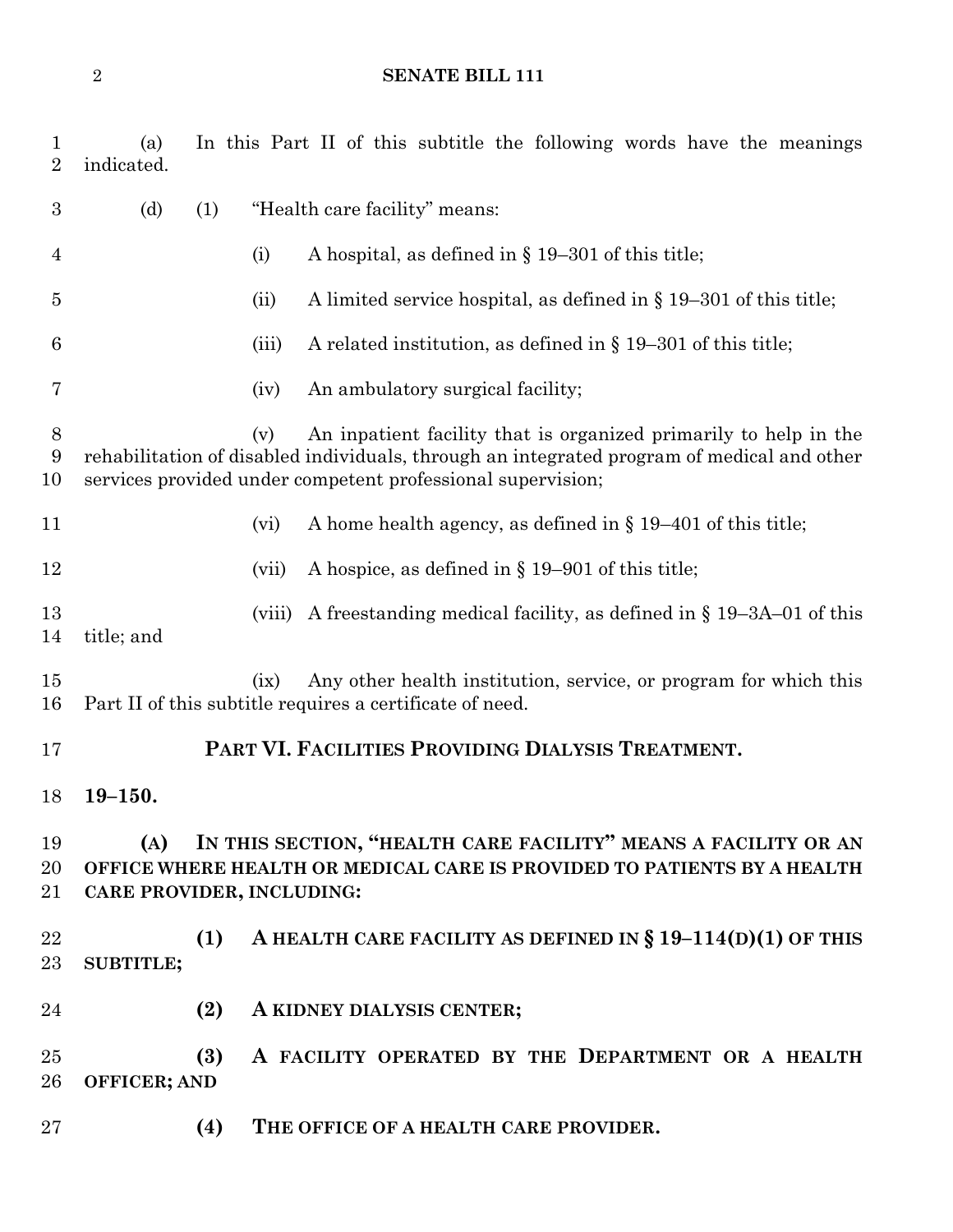## **SENATE BILL 111**

| $\mathbf{1}$<br>$\overline{2}$ | (a)<br>In this Part II of this subtitle the following words have the meanings<br>indicated.                                                                                                                                          |        |                                                                                                                              |
|--------------------------------|--------------------------------------------------------------------------------------------------------------------------------------------------------------------------------------------------------------------------------------|--------|------------------------------------------------------------------------------------------------------------------------------|
| 3                              | (d)<br>"Health care facility" means:<br>(1)                                                                                                                                                                                          |        |                                                                                                                              |
| 4                              |                                                                                                                                                                                                                                      | (i)    | A hospital, as defined in $\S$ 19–301 of this title;                                                                         |
| $\overline{5}$                 |                                                                                                                                                                                                                                      | (ii)   | A limited service hospital, as defined in $\S 19-301$ of this title;                                                         |
| 6                              |                                                                                                                                                                                                                                      | (iii)  | A related institution, as defined in $\S$ 19–301 of this title;                                                              |
| 7                              |                                                                                                                                                                                                                                      | (iv)   | An ambulatory surgical facility;                                                                                             |
| 8<br>9<br>10                   | An inpatient facility that is organized primarily to help in the<br>(v)<br>rehabilitation of disabled individuals, through an integrated program of medical and other<br>services provided under competent professional supervision; |        |                                                                                                                              |
| 11                             |                                                                                                                                                                                                                                      | (vi)   | A home health agency, as defined in $\S 19-401$ of this title;                                                               |
| 12                             |                                                                                                                                                                                                                                      | (vii)  | A hospice, as defined in $\S 19-901$ of this title;                                                                          |
| 13<br>14                       | title; and                                                                                                                                                                                                                           | (viii) | A freestanding medical facility, as defined in $\S$ 19–3A–01 of this                                                         |
| 15<br>16                       |                                                                                                                                                                                                                                      | (ix)   | Any other health institution, service, or program for which this<br>Part II of this subtitle requires a certificate of need. |
| 17                             | PART VI. FACILITIES PROVIDING DIALYSIS TREATMENT.                                                                                                                                                                                    |        |                                                                                                                              |
| 18                             | $19 - 150.$                                                                                                                                                                                                                          |        |                                                                                                                              |
| 19<br>20<br>21                 | IN THIS SECTION, "HEALTH CARE FACILITY" MEANS A FACILITY OR AN<br>(A)<br>OFFICE WHERE HEALTH OR MEDICAL CARE IS PROVIDED TO PATIENTS BY A HEALTH<br>CARE PROVIDER, INCLUDING:                                                        |        |                                                                                                                              |
| 22<br>23                       | (1)<br><b>SUBTITLE;</b>                                                                                                                                                                                                              |        | A HEALTH CARE FACILITY AS DEFINED IN § $19-114(D)(1)$ OF THIS                                                                |
| 24                             | (2)                                                                                                                                                                                                                                  |        | A KIDNEY DIALYSIS CENTER;                                                                                                    |
| 25<br>26                       | (3)<br><b>OFFICER; AND</b>                                                                                                                                                                                                           |        | A FACILITY OPERATED BY THE DEPARTMENT OR A HEALTH                                                                            |
| 27                             | (4)                                                                                                                                                                                                                                  |        | THE OFFICE OF A HEALTH CARE PROVIDER.                                                                                        |